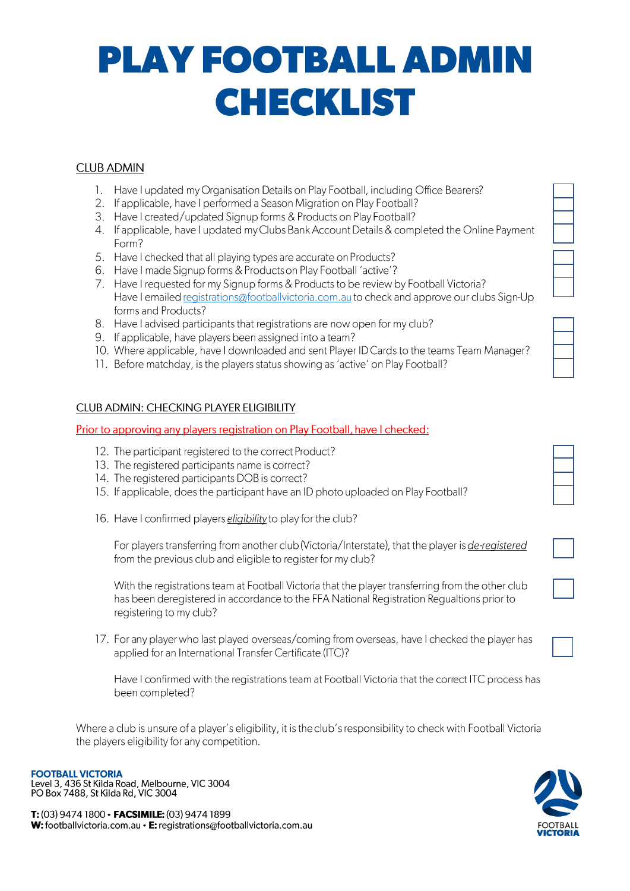## **PLAY FOOTBALL ADMIN CHECKLIST**

### **CLUB ADMIN**

- 1. Have I updated my Organisation Details on Play Football, including Office Bearers?
- 2. If applicable, have I performed a Season Migration on Play Football?
- 3. Have I created/updated Signup forms & Products on Play Football?
- 4. If applicable, have I updated my Clubs Bank Account Details & completed the Online Payment Form?
- 5. Have I checked that all playing types are accurate on Products?
- 6. Have I made Signup forms & Products on Play Football 'active'?
- 7. Have I requested for my Signup forms & Products to be review by Football Victoria? Have I emailed registrations@footballvictoria.com.au to check and approve our clubs Sign-Up forms and Products?
- 8. Have I advised participants that registrations are now open for my club?
- 9. If applicable, have players been assigned into a team?
- 10. Where applicable, have I downloaded and sent Player ID Cards to the teams Team Manager?
- 11. Before matchday, is the players status showing as 'active' on Play Football?

### **CLUB ADMIN: CHECKING PLAYER ELIGIBILITY**

#### Prior to approving any players registration on Play Football, have Lchecked:

- 12. The participant registered to the correct Product?
- 13. The registered participants name is correct?
- 14. The registered participants DOB is correct?
- 15. If applicable, does the participant have an ID photo uploaded on Play Football?
- 16. Have I confirmed players eligibility to play for the club?

For players transferring from another club (Victoria/Interstate), that the player is de-registered from the previous club and eligible to register for my club?

With the registrations team at Football Victoria that the player transferring from the other club has been deregistered in accordance to the FFA National Registration Regualtions prior to registering to my club?

17. For any player who last played overseas/coming from overseas, have I checked the player has applied for an International Transfer Certificate (ITC)?

Have I confirmed with the registrations team at Football Victoria that the correct ITC process has been completed?

Where a club is unsure of a player's eligibility, it is the club's responsibility to check with Football Victoria the players eligibility for any competition.

Level 3, 436 St Kilda Road, Melbourne, VIC 3004<br>PO Box 7488, St Kilda Road, Welbourne, VIC 3004

T: (03) 9474 1800 · FACSIMILE: (03) 9474 1899 W: footballvictoria.com.au • E: registrations@footballvictoria.com.au